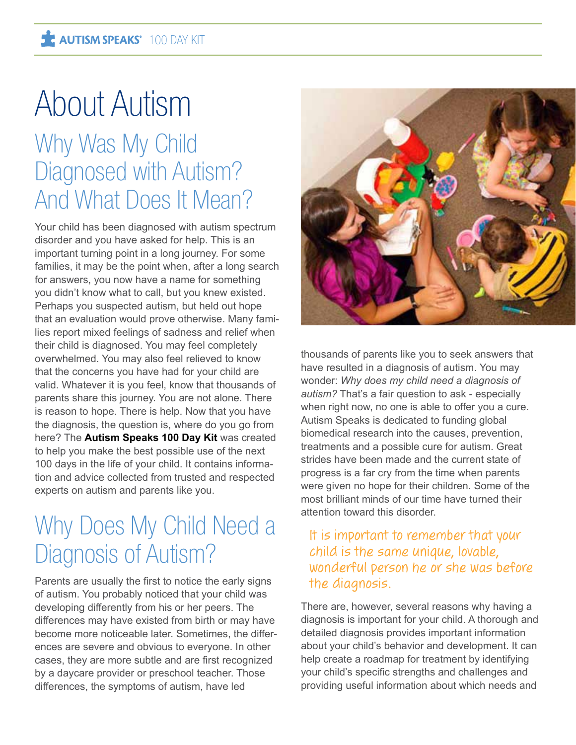# About Autism Why Was My Child Diagnosed with Autism? And What Does It Mean?

Your child has been diagnosed with autism spectrum disorder and you have asked for help. This is an important turning point in a long journey. For some families, it may be the point when, after a long search for answers, you now have a name for something you didn't know what to call, but you knew existed. Perhaps you suspected autism, but held out hope that an evaluation would prove otherwise. Many families report mixed feelings of sadness and relief when their child is diagnosed. You may feel completely overwhelmed. You may also feel relieved to know that the concerns you have had for your child are valid. Whatever it is you feel, know that thousands of parents share this journey. You are not alone. There is reason to hope. There is help. Now that you have the diagnosis, the question is, where do you go from here? The **Autism Speaks 100 Day Kit** was created to help you make the best possible use of the next 100 days in the life of your child. It contains information and advice collected from trusted and respected experts on autism and parents like you.

## Why Does My Child Need a Diagnosis of Autism?

Parents are usually the first to notice the early signs of autism. You probably noticed that your child was developing differently from his or her peers. The differences may have existed from birth or may have become more noticeable later. Sometimes, the differences are severe and obvious to everyone. In other cases, they are more subtle and are first recognized by a daycare provider or preschool teacher. Those differences, the symptoms of autism, have led



thousands of parents like you to seek answers that have resulted in a diagnosis of autism. You may wonder: *Why does my child need a diagnosis of autism?* That's a fair question to ask - especially when right now, no one is able to offer you a cure. Autism Speaks is dedicated to funding global biomedical research into the causes, prevention, treatments and a possible cure for autism. Great strides have been made and the current state of progress is a far cry from the time when parents were given no hope for their children. Some of the most brilliant minds of our time have turned their attention toward this disorder.

#### It is important to remember that your child is the same unique, lovable, wonderful person he or she was before the diagnosis.

There are, however, several reasons why having a diagnosis is important for your child. A thorough and detailed diagnosis provides important information about your child's behavior and development. It can help create a roadmap for treatment by identifying your child's specific strengths and challenges and providing useful information about which needs and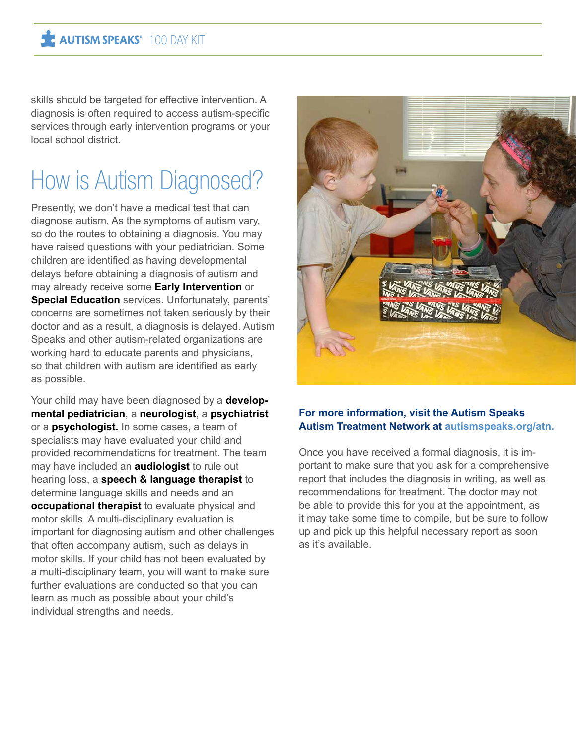skills should be targeted for effective intervention. A diagnosis is often required to access autism-specific services through early intervention programs or your local school district.

# How is Autism Diagnosed?

Presently, we don't have a medical test that can diagnose autism. As the symptoms of autism vary, so do the routes to obtaining a diagnosis. You may have raised questions with your pediatrician. Some children are identified as having developmental delays before obtaining a diagnosis of autism and may already receive some **Early Intervention** or **Special Education** services. Unfortunately, parents' concerns are sometimes not taken seriously by their doctor and as a result, a diagnosis is delayed. Autism Speaks and other autism-related organizations are working hard to educate parents and physicians, so that children with autism are identified as early as possible.

Your child may have been diagnosed by a **developmental pediatrician**, a **neurologist**, a **psychiatrist** or a **psychologist.** In some cases, a team of specialists may have evaluated your child and provided recommendations for treatment. The team may have included an **audiologist** to rule out hearing loss, a **speech & language therapist** to determine language skills and needs and an **occupational therapist** to evaluate physical and motor skills. A multi-disciplinary evaluation is important for diagnosing autism and other challenges that often accompany autism, such as delays in motor skills. If your child has not been evaluated by a multi-disciplinary team, you will want to make sure further evaluations are conducted so that you can learn as much as possible about your child's individual strengths and needs.



#### **For more information, visit the Autism Speaks Autism Treatment Network at autismspeaks.org/atn.**

Once you have received a formal diagnosis, it is important to make sure that you ask for a comprehensive report that includes the diagnosis in writing, as well as recommendations for treatment. The doctor may not be able to provide this for you at the appointment, as it may take some time to compile, but be sure to follow up and pick up this helpful necessary report as soon as it's available.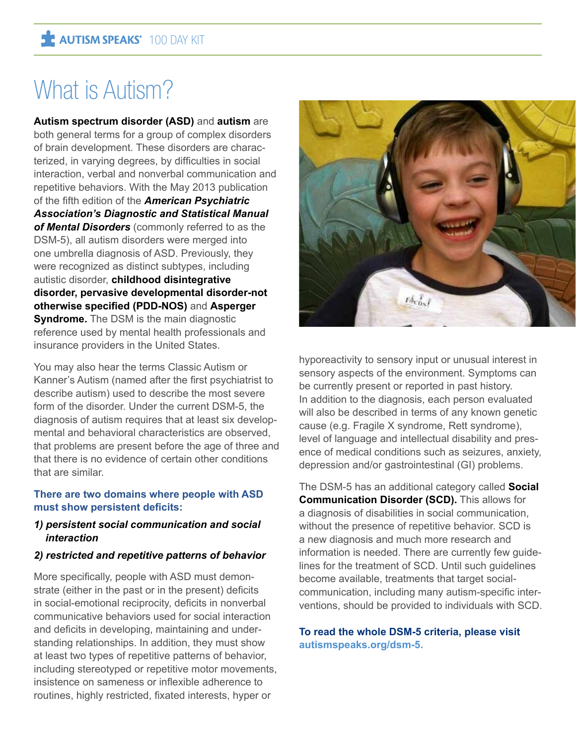# What is Autism?

**Autism spectrum disorder (ASD)** and **autism** are both general terms for a group of complex disorders of brain development. These disorders are characterized, in varying degrees, by difficulties in social interaction, verbal and nonverbal communication and repetitive behaviors. With the May 2013 publication of the fifth edition of the *American Psychiatric Association's Diagnostic and Statistical Manual of Mental Disorders* (commonly referred to as the DSM-5), all autism disorders were merged into one umbrella diagnosis of ASD. Previously, they were recognized as distinct subtypes, including autistic disorder, **childhood disintegrative disorder, pervasive developmental disorder-not otherwise specified (PDD-NOS)** and **Asperger Syndrome.** The DSM is the main diagnostic reference used by mental health professionals and insurance providers in the United States.

You may also hear the terms Classic Autism or Kanner's Autism (named after the first psychiatrist to describe autism) used to describe the most severe form of the disorder. Under the current DSM-5, the diagnosis of autism requires that at least six developmental and behavioral characteristics are observed, that problems are present before the age of three and that there is no evidence of certain other conditions that are similar.

#### **There are two domains where people with ASD must show persistent deficits:**

#### *1) persistent social communication and social interaction*

#### *2) restricted and repetitive patterns of behavior*

More specifically, people with ASD must demonstrate (either in the past or in the present) deficits in social-emotional reciprocity, deficits in nonverbal communicative behaviors used for social interaction and deficits in developing, maintaining and understanding relationships. In addition, they must show at least two types of repetitive patterns of behavior, including stereotyped or repetitive motor movements, insistence on sameness or inflexible adherence to routines, highly restricted, fixated interests, hyper or



hyporeactivity to sensory input or unusual interest in sensory aspects of the environment. Symptoms can be currently present or reported in past history. In addition to the diagnosis, each person evaluated will also be described in terms of any known genetic cause (e.g. Fragile X syndrome, Rett syndrome), level of language and intellectual disability and presence of medical conditions such as seizures, anxiety, depression and/or gastrointestinal (GI) problems.

The DSM-5 has an additional category called **Social Communication Disorder (SCD).** This allows for a diagnosis of disabilities in social communication, without the presence of repetitive behavior. SCD is a new diagnosis and much more research and information is needed. There are currently few guidelines for the treatment of SCD. Until such guidelines become available, treatments that target socialcommunication, including many autism-specific interventions, should be provided to individuals with SCD.

**To read the whole DSM-5 criteria, please visit autismspeaks.org/dsm-5.**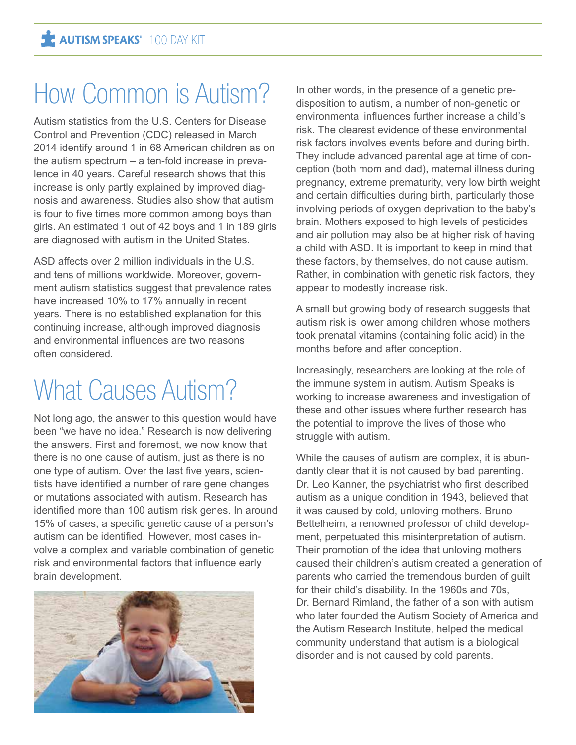# How Common is Autism?

Autism statistics from the U.S. Centers for Disease Control and Prevention (CDC) released in March 2014 identify around 1 in 68 American children as on the autism spectrum – a ten-fold increase in prevalence in 40 years. Careful research shows that this increase is only partly explained by improved diagnosis and awareness. Studies also show that autism is four to five times more common among boys than girls. An estimated 1 out of 42 boys and 1 in 189 girls are diagnosed with autism in the United States.

ASD affects over 2 million individuals in the U.S. and tens of millions worldwide. Moreover, government autism statistics suggest that prevalence rates have increased 10% to 17% annually in recent years. There is no established explanation for this continuing increase, although improved diagnosis and environmental influences are two reasons often considered.

# What Causes Autism?

Not long ago, the answer to this question would have been "we have no idea." Research is now delivering the answers. First and foremost, we now know that there is no one cause of autism, just as there is no one type of autism. Over the last five years, scientists have identified a number of rare gene changes or mutations associated with autism. Research has identified more than 100 autism risk genes. In around 15% of cases, a specific genetic cause of a person's autism can be identified. However, most cases involve a complex and variable combination of genetic risk and environmental factors that influence early brain development.



In other words, in the presence of a genetic predisposition to autism, a number of non-genetic or environmental influences further increase a child's risk. The clearest evidence of these environmental risk factors involves events before and during birth. They include advanced parental age at time of conception (both mom and dad), maternal illness during pregnancy, extreme prematurity, very low birth weight and certain difficulties during birth, particularly those involving periods of oxygen deprivation to the baby's brain. Mothers exposed to high levels of pesticides and air pollution may also be at higher risk of having a child with ASD. It is important to keep in mind that these factors, by themselves, do not cause autism. Rather, in combination with genetic risk factors, they appear to modestly increase risk.

A small but growing body of research suggests that autism risk is lower among children whose mothers took prenatal vitamins (containing folic acid) in the months before and after conception.

Increasingly, researchers are looking at the role of the immune system in autism. Autism Speaks is working to increase awareness and investigation of these and other issues where further research has the potential to improve the lives of those who struggle with autism.

While the causes of autism are complex, it is abundantly clear that it is not caused by bad parenting. Dr. Leo Kanner, the psychiatrist who first described autism as a unique condition in 1943, believed that it was caused by cold, unloving mothers. Bruno Bettelheim, a renowned professor of child development, perpetuated this misinterpretation of autism. Their promotion of the idea that unloving mothers caused their children's autism created a generation of parents who carried the tremendous burden of guilt for their child's disability. In the 1960s and 70s, Dr. Bernard Rimland, the father of a son with autism who later founded the Autism Society of America and the Autism Research Institute, helped the medical community understand that autism is a biological disorder and is not caused by cold parents.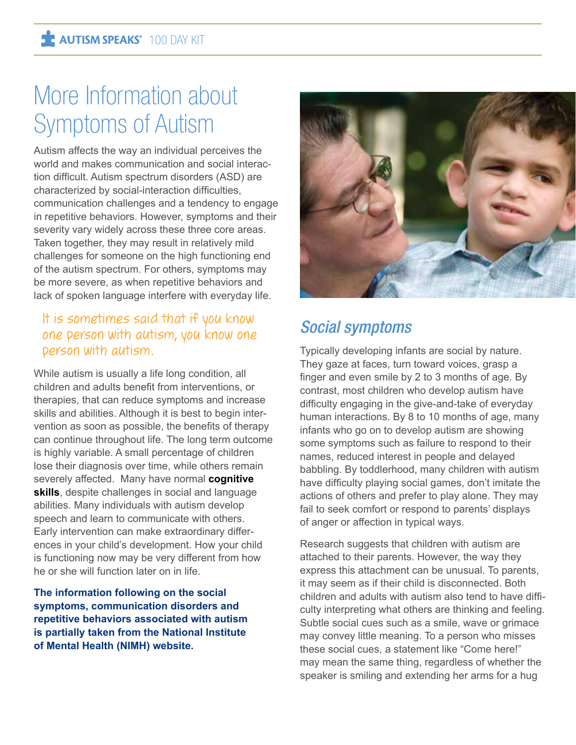## More Information about Symptoms of Autism

Autism affects the way an individual perceives the world and makes communication and social interaction difficult. Autism spectrum disorders (ASD) are characterized by social-interaction difficulties, communication challenges and a tendency to engage in repetitive behaviors. However, symptoms and their severity vary widely across these three core areas. Taken together, they may result in relatively mild challenges for someone on the high functioning end of the autism spectrum. For others, symptoms may be more severe, as when repetitive behaviors and lack of spoken language interfere with everyday life.

#### It is sometimes said that if you know one person with autism, you know one person with autism.

While autism is usually a life long condition, all children and adults benefit from interventions, or therapies, that can reduce symptoms and increase skills and abilities. Although it is best to begin intervention as soon as possible, the benefits of therapy can continue throughout life. The long term outcome is highly variable. A small percentage of children lose their diagnosis over time, while others remain severely affected. Many have normal **cognitive skills**, despite challenges in social and language abilities. Many individuals with autism develop speech and learn to communicate with others. Early intervention can make extraordinary differences in your child's development. How your child is functioning now may be very different from how he or she will function later on in life.

**The information following on the social symptoms, communication disorders and repetitive behaviors associated with autism is partially taken from the National Institute of Mental Health (NIMH) website.**



## *Social symptoms*

Typically developing infants are social by nature. They gaze at faces, turn toward voices, grasp a finger and even smile by 2 to 3 months of age. By contrast, most children who develop autism have difficulty engaging in the give-and-take of everyday human interactions. By 8 to 10 months of age, many infants who go on to develop autism are showing some symptoms such as failure to respond to their names, reduced interest in people and delayed babbling. By toddlerhood, many children with autism have difficulty playing social games, don't imitate the actions of others and prefer to play alone. They may fail to seek comfort or respond to parents' displays of anger or affection in typical ways.

Research suggests that children with autism are attached to their parents. However, the way they express this attachment can be unusual. To parents, it may seem as if their child is disconnected. Both children and adults with autism also tend to have difficulty interpreting what others are thinking and feeling. Subtle social cues such as a smile, wave or grimace may convey little meaning. To a person who misses these social cues, a statement like "Come here!" may mean the same thing, regardless of whether the speaker is smiling and extending her arms for a hug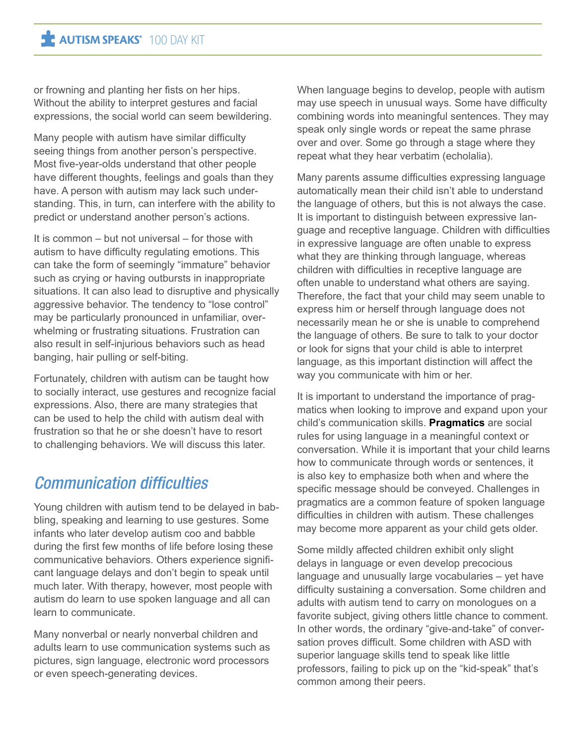or frowning and planting her fists on her hips. Without the ability to interpret gestures and facial expressions, the social world can seem bewildering.

Many people with autism have similar difficulty seeing things from another person's perspective. Most five-year-olds understand that other people have different thoughts, feelings and goals than they have. A person with autism may lack such understanding. This, in turn, can interfere with the ability to predict or understand another person's actions.

It is common – but not universal – for those with autism to have difficulty regulating emotions. This can take the form of seemingly "immature" behavior such as crying or having outbursts in inappropriate situations. It can also lead to disruptive and physically aggressive behavior. The tendency to "lose control" may be particularly pronounced in unfamiliar, overwhelming or frustrating situations. Frustration can also result in self-injurious behaviors such as head banging, hair pulling or self-biting.

Fortunately, children with autism can be taught how to socially interact, use gestures and recognize facial expressions. Also, there are many strategies that can be used to help the child with autism deal with frustration so that he or she doesn't have to resort to challenging behaviors. We will discuss this later.

#### *Communication difficulties*

Young children with autism tend to be delayed in babbling, speaking and learning to use gestures. Some infants who later develop autism coo and babble during the first few months of life before losing these communicative behaviors. Others experience significant language delays and don't begin to speak until much later. With therapy, however, most people with autism do learn to use spoken language and all can learn to communicate.

Many nonverbal or nearly nonverbal children and adults learn to use communication systems such as pictures, sign language, electronic word processors or even speech-generating devices.

When language begins to develop, people with autism may use speech in unusual ways. Some have difficulty combining words into meaningful sentences. They may speak only single words or repeat the same phrase over and over. Some go through a stage where they repeat what they hear verbatim (echolalia).

Many parents assume difficulties expressing language automatically mean their child isn't able to understand the language of others, but this is not always the case. It is important to distinguish between expressive language and receptive language. Children with difficulties in expressive language are often unable to express what they are thinking through language, whereas children with difficulties in receptive language are often unable to understand what others are saying. Therefore, the fact that your child may seem unable to express him or herself through language does not necessarily mean he or she is unable to comprehend the language of others. Be sure to talk to your doctor or look for signs that your child is able to interpret language, as this important distinction will affect the way you communicate with him or her.

It is important to understand the importance of pragmatics when looking to improve and expand upon your child's communication skills. **Pragmatics** are social rules for using language in a meaningful context or conversation. While it is important that your child learns how to communicate through words or sentences, it is also key to emphasize both when and where the specific message should be conveyed. Challenges in pragmatics are a common feature of spoken language difficulties in children with autism. These challenges may become more apparent as your child gets older.

Some mildly affected children exhibit only slight delays in language or even develop precocious language and unusually large vocabularies – yet have difficulty sustaining a conversation. Some children and adults with autism tend to carry on monologues on a favorite subject, giving others little chance to comment. In other words, the ordinary "give-and-take" of conversation proves difficult. Some children with ASD with superior language skills tend to speak like little professors, failing to pick up on the "kid-speak" that's common among their peers.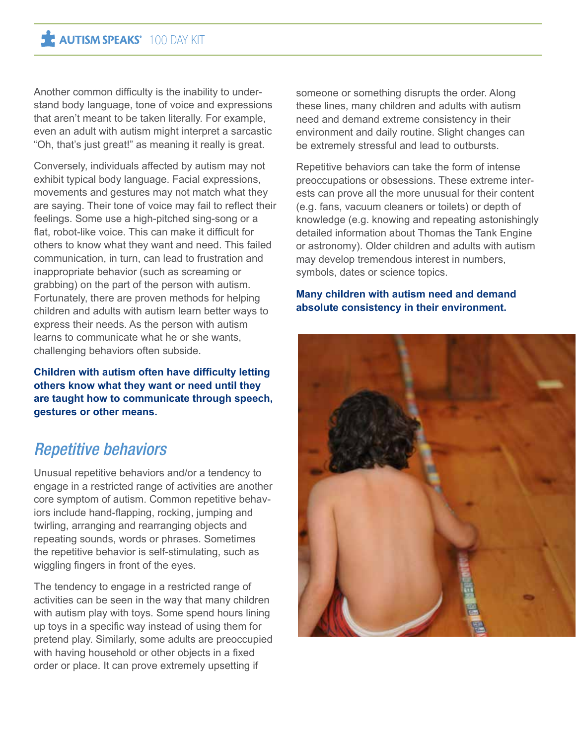Another common difficulty is the inability to understand body language, tone of voice and expressions that aren't meant to be taken literally. For example, even an adult with autism might interpret a sarcastic "Oh, that's just great!" as meaning it really is great.

Conversely, individuals affected by autism may not exhibit typical body language. Facial expressions, movements and gestures may not match what they are saying. Their tone of voice may fail to reflect their feelings. Some use a high-pitched sing-song or a flat, robot-like voice. This can make it difficult for others to know what they want and need. This failed communication, in turn, can lead to frustration and inappropriate behavior (such as screaming or grabbing) on the part of the person with autism. Fortunately, there are proven methods for helping children and adults with autism learn better ways to express their needs. As the person with autism learns to communicate what he or she wants, challenging behaviors often subside.

**Children with autism often have difficulty letting others know what they want or need until they are taught how to communicate through speech, gestures or other means.**

### *Repetitive behaviors*

Unusual repetitive behaviors and/or a tendency to engage in a restricted range of activities are another core symptom of autism. Common repetitive behaviors include hand-flapping, rocking, jumping and twirling, arranging and rearranging objects and repeating sounds, words or phrases. Sometimes the repetitive behavior is self-stimulating, such as wiggling fingers in front of the eyes.

The tendency to engage in a restricted range of activities can be seen in the way that many children with autism play with toys. Some spend hours lining up toys in a specific way instead of using them for pretend play. Similarly, some adults are preoccupied with having household or other objects in a fixed order or place. It can prove extremely upsetting if

someone or something disrupts the order. Along these lines, many children and adults with autism need and demand extreme consistency in their environment and daily routine. Slight changes can be extremely stressful and lead to outbursts.

Repetitive behaviors can take the form of intense preoccupations or obsessions. These extreme interests can prove all the more unusual for their content (e.g. fans, vacuum cleaners or toilets) or depth of knowledge (e.g. knowing and repeating astonishingly detailed information about Thomas the Tank Engine or astronomy). Older children and adults with autism may develop tremendous interest in numbers, symbols, dates or science topics.

#### **Many children with autism need and demand absolute consistency in their environment.**

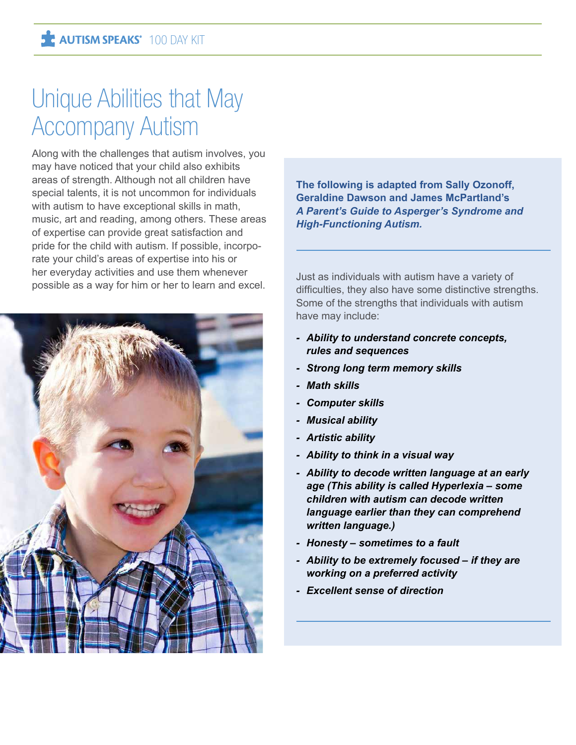## Unique Abilities that May Accompany Autism

Along with the challenges that autism involves, you may have noticed that your child also exhibits areas of strength. Although not all children have special talents, it is not uncommon for individuals with autism to have exceptional skills in math, music, art and reading, among others. These areas of expertise can provide great satisfaction and pride for the child with autism. If possible, incorporate your child's areas of expertise into his or her everyday activities and use them whenever possible as a way for him or her to learn and excel.



**The following is adapted from Sally Ozonoff, Geraldine Dawson and James McPartland's**  *A Parent's Guide to Asperger's Syndrome and High-Functioning Autism.*

Just as individuals with autism have a variety of difficulties, they also have some distinctive strengths. Some of the strengths that individuals with autism have may include:

- *- Ability to understand concrete concepts, rules and sequences*
- *Strong long term memory skills*
- *Math skills*
- *Computer skills*
- *Musical ability*
- *Artistic ability*
- *Ability to think in a visual way*
- *Ability to decode written language at an early age (This ability is called Hyperlexia – some children with autism can decode written language earlier than they can comprehend written language.)*
- *Honesty sometimes to a fault*
- *Ability to be extremely focused if they are working on a preferred activity*
- *Excellent sense of direction*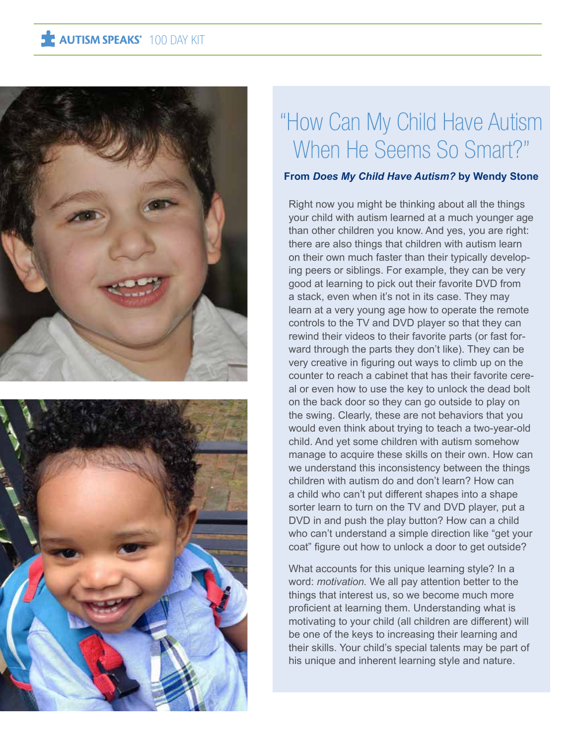



## "How Can My Child Have Autism When He Seems So Smart?"

#### **From** *Does My Child Have Autism?* **by Wendy Stone**

Right now you might be thinking about all the things your child with autism learned at a much younger age than other children you know. And yes, you are right: there are also things that children with autism learn on their own much faster than their typically developing peers or siblings. For example, they can be very good at learning to pick out their favorite DVD from a stack, even when it's not in its case. They may learn at a very young age how to operate the remote controls to the TV and DVD player so that they can rewind their videos to their favorite parts (or fast forward through the parts they don't like). They can be very creative in figuring out ways to climb up on the counter to reach a cabinet that has their favorite cereal or even how to use the key to unlock the dead bolt on the back door so they can go outside to play on the swing. Clearly, these are not behaviors that you would even think about trying to teach a two-year-old child. And yet some children with autism somehow manage to acquire these skills on their own. How can we understand this inconsistency between the things children with autism do and don't learn? How can a child who can't put different shapes into a shape sorter learn to turn on the TV and DVD player, put a DVD in and push the play button? How can a child who can't understand a simple direction like "get your coat" figure out how to unlock a door to get outside?

What accounts for this unique learning style? In a word: *motivation.* We all pay attention better to the things that interest us, so we become much more proficient at learning them. Understanding what is motivating to your child (all children are different) will be one of the keys to increasing their learning and their skills. Your child's special talents may be part of his unique and inherent learning style and nature.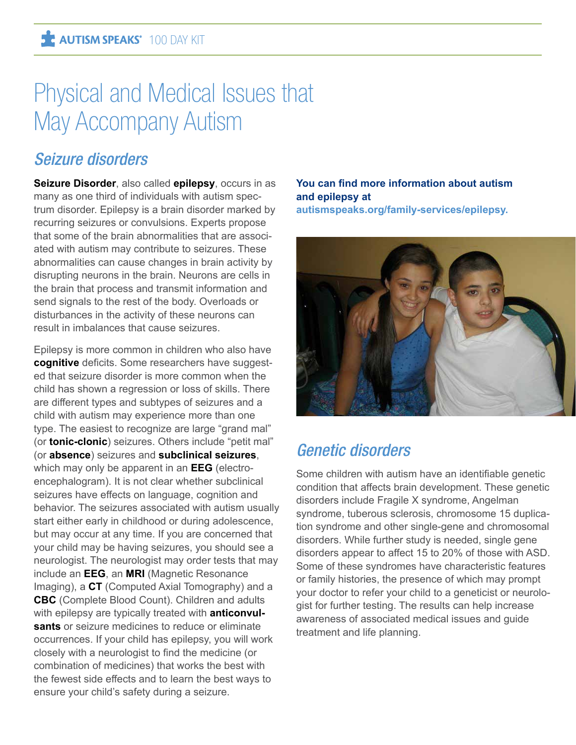## Physical and Medical Issues that May Accompany Autism

### *Seizure disorders*

**Seizure Disorder**, also called **epilepsy**, occurs in as many as one third of individuals with autism spectrum disorder. Epilepsy is a brain disorder marked by recurring seizures or convulsions. Experts propose that some of the brain abnormalities that are associated with autism may contribute to seizures. These abnormalities can cause changes in brain activity by disrupting neurons in the brain. Neurons are cells in the brain that process and transmit information and send signals to the rest of the body. Overloads or disturbances in the activity of these neurons can result in imbalances that cause seizures.

Epilepsy is more common in children who also have **cognitive** deficits. Some researchers have suggested that seizure disorder is more common when the child has shown a regression or loss of skills. There are different types and subtypes of seizures and a child with autism may experience more than one type. The easiest to recognize are large "grand mal" (or **tonic-clonic**) seizures. Others include "petit mal" (or **absence**) seizures and **subclinical seizures**, which may only be apparent in an **EEG** (electroencephalogram). It is not clear whether subclinical seizures have effects on language, cognition and behavior. The seizures associated with autism usually start either early in childhood or during adolescence, but may occur at any time. If you are concerned that your child may be having seizures, you should see a neurologist. The neurologist may order tests that may include an **EEG**, an **MRI** (Magnetic Resonance Imaging), a **CT** (Computed Axial Tomography) and a **CBC** (Complete Blood Count). Children and adults with epilepsy are typically treated with **anticonvulsants** or seizure medicines to reduce or eliminate occurrences. If your child has epilepsy, you will work closely with a neurologist to find the medicine (or combination of medicines) that works the best with the fewest side effects and to learn the best ways to ensure your child's safety during a seizure.

**You can find more information about autism and epilepsy at autismspeaks.org/family-services/epilepsy.** 



### *Genetic disorders*

Some children with autism have an identifiable genetic condition that affects brain development. These genetic disorders include Fragile X syndrome, Angelman syndrome, tuberous sclerosis, chromosome 15 duplication syndrome and other single-gene and chromosomal disorders. While further study is needed, single gene disorders appear to affect 15 to 20% of those with ASD. Some of these syndromes have characteristic features or family histories, the presence of which may prompt your doctor to refer your child to a geneticist or neurologist for further testing. The results can help increase awareness of associated medical issues and guide treatment and life planning.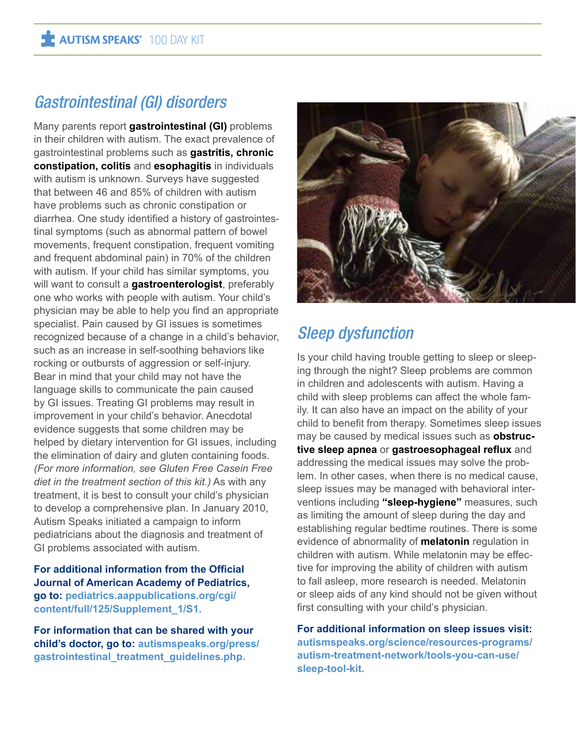### *Gastrointestinal (GI) disorders*

Many parents report **gastrointestinal (GI)** problems in their children with autism. The exact prevalence of gastrointestinal problems such as **gastritis, chronic constipation, colitis** and **esophagitis** in individuals with autism is unknown. Surveys have suggested that between 46 and 85% of children with autism have problems such as chronic constipation or diarrhea. One study identified a history of gastrointestinal symptoms (such as abnormal pattern of bowel movements, frequent constipation, frequent vomiting and frequent abdominal pain) in 70% of the children with autism. If your child has similar symptoms, you will want to consult a **gastroenterologist**, preferably one who works with people with autism. Your child's physician may be able to help you find an appropriate specialist. Pain caused by GI issues is sometimes recognized because of a change in a child's behavior, such as an increase in self-soothing behaviors like rocking or outbursts of aggression or self-injury. Bear in mind that your child may not have the language skills to communicate the pain caused by GI issues. Treating GI problems may result in improvement in your child's behavior. Anecdotal evidence suggests that some children may be helped by dietary intervention for GI issues, including the elimination of dairy and gluten containing foods. *(For more information, see Gluten Free Casein Free diet in the treatment section of this kit.)* As with any treatment, it is best to consult your child's physician to develop a comprehensive plan. In January 2010, Autism Speaks initiated a campaign to inform pediatricians about the diagnosis and treatment of GI problems associated with autism.

**For additional information from the Official Journal of American Academy of Pediatrics, go to: pediatrics.aappublications.org/cgi/ content/full/125/Supplement\_1/S1.**

**For information that can be shared with your child's doctor, go to: autismspeaks.org/press/ gastrointestinal\_treatment\_guidelines.php.**



## *Sleep dysfunction*

Is your child having trouble getting to sleep or sleeping through the night? Sleep problems are common in children and adolescents with autism. Having a child with sleep problems can affect the whole family. It can also have an impact on the ability of your child to benefit from therapy. Sometimes sleep issues may be caused by medical issues such as **obstructive sleep apnea** or **gastroesophageal reflux** and addressing the medical issues may solve the problem. In other cases, when there is no medical cause, sleep issues may be managed with behavioral interventions including **"sleep-hygiene"** measures, such as limiting the amount of sleep during the day and establishing regular bedtime routines. There is some evidence of abnormality of **melatonin** regulation in children with autism. While melatonin may be effective for improving the ability of children with autism to fall asleep, more research is needed. Melatonin or sleep aids of any kind should not be given without first consulting with your child's physician.

**For additional information on sleep issues visit: autismspeaks.org/science/resources-programs/ autism-treatment-network/tools-you-can-use/ sleep-tool-kit.**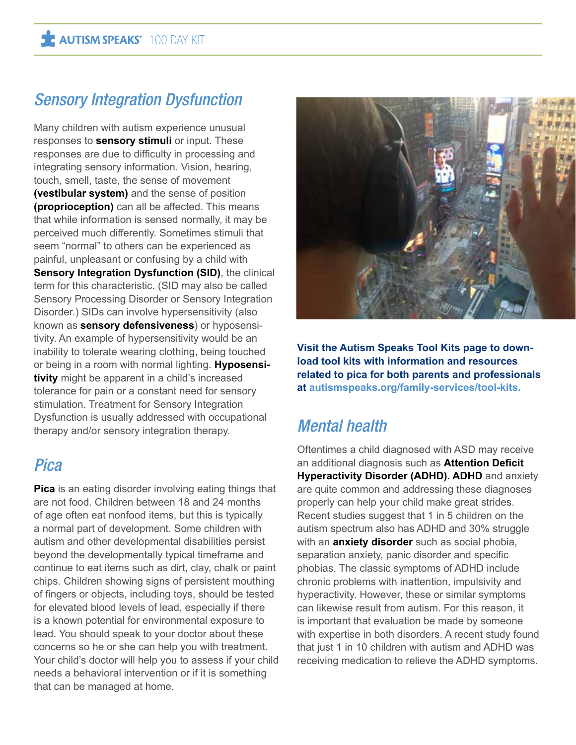## *Sensory Integration Dysfunction*

Many children with autism experience unusual responses to **sensory stimuli** or input. These responses are due to difficulty in processing and integrating sensory information. Vision, hearing, touch, smell, taste, the sense of movement **(vestibular system)** and the sense of position **(proprioception)** can all be affected. This means that while information is sensed normally, it may be perceived much differently. Sometimes stimuli that seem "normal" to others can be experienced as painful, unpleasant or confusing by a child with **Sensory Integration Dysfunction (SID)**, the clinical term for this characteristic. (SID may also be called Sensory Processing Disorder or Sensory Integration Disorder.) SIDs can involve hypersensitivity (also known as **sensory defensiveness**) or hyposensitivity. An example of hypersensitivity would be an inability to tolerate wearing clothing, being touched or being in a room with normal lighting. **Hyposensitivity** might be apparent in a child's increased tolerance for pain or a constant need for sensory stimulation. Treatment for Sensory Integration Dysfunction is usually addressed with occupational therapy and/or sensory integration therapy.

#### *Pica*

**Pica** is an eating disorder involving eating things that are not food. Children between 18 and 24 months of age often eat nonfood items, but this is typically a normal part of development. Some children with autism and other developmental disabilities persist beyond the developmentally typical timeframe and continue to eat items such as dirt, clay, chalk or paint chips. Children showing signs of persistent mouthing of fingers or objects, including toys, should be tested for elevated blood levels of lead, especially if there is a known potential for environmental exposure to lead. You should speak to your doctor about these concerns so he or she can help you with treatment. Your child's doctor will help you to assess if your child needs a behavioral intervention or if it is something that can be managed at home.



**Visit the Autism Speaks Tool Kits page to download tool kits with information and resources related to pica for both parents and professionals at autismspeaks.org/family-services/tool-kits.**

## *Mental health*

Oftentimes a child diagnosed with ASD may receive an additional diagnosis such as **Attention Deficit Hyperactivity Disorder (ADHD). ADHD** and anxiety are quite common and addressing these diagnoses properly can help your child make great strides. Recent studies suggest that 1 in 5 children on the autism spectrum also has ADHD and 30% struggle with an **anxiety disorder** such as social phobia, separation anxiety, panic disorder and specific phobias. The classic symptoms of ADHD include chronic problems with inattention, impulsivity and hyperactivity. However, these or similar symptoms can likewise result from autism. For this reason, it is important that evaluation be made by someone with expertise in both disorders. A recent study found that just 1 in 10 children with autism and ADHD was receiving medication to relieve the ADHD symptoms.